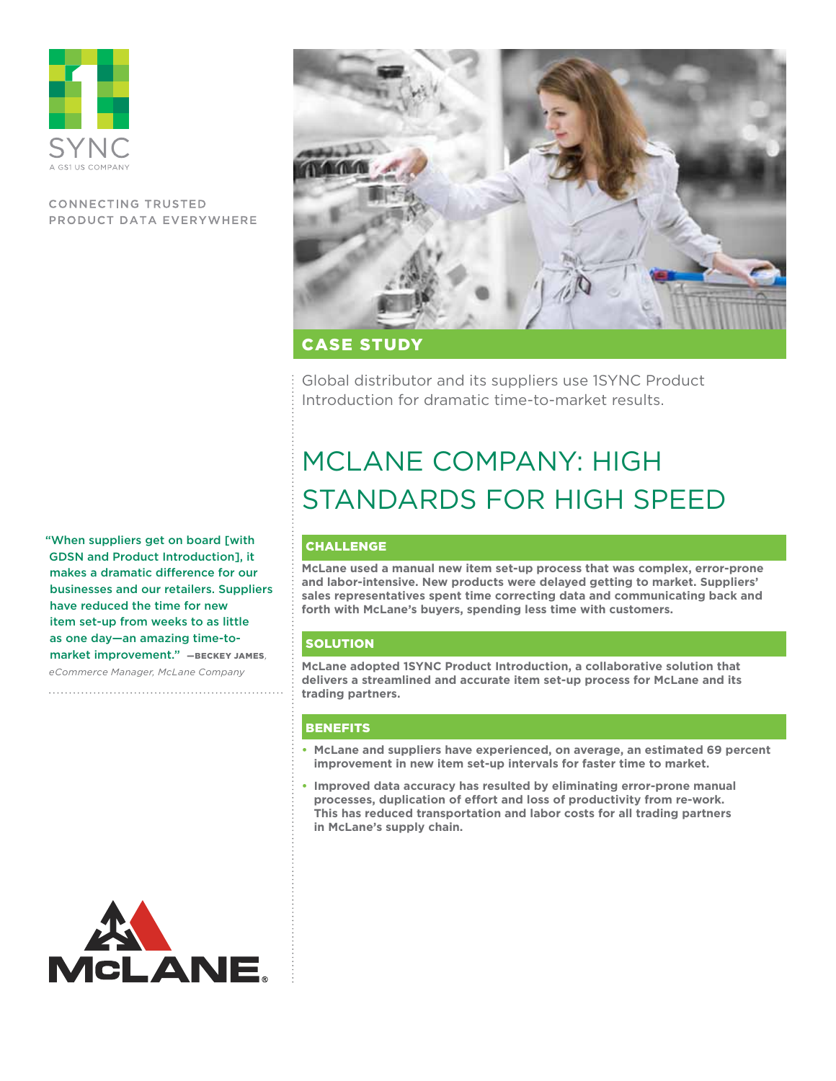

# **CONNECTING TRUSTED** PRODUCT DATA EVERYWHERE

"When suppliers get on board [with GDSN and Product Introduction], it makes a dramatic difference for our businesses and our retailers. Suppliers have reduced the time for new item set-up from weeks to as little as one day—an amazing time-tomarket improvement." —Beckey James*, eCommerce Manager, McLane Company*





CAse Study

Global distributor and its suppliers use 1SYNC Product Introduction for dramatic time-to-market results.

# McLane Company: High Standards for High Speed

# CHALLENGE

**McLane used a manual new item set-up process that was complex, error-prone and labor-intensive. New products were delayed getting to market. Suppliers' sales representatives spent time correcting data and communicating back and forth with McLane's buyers, spending less time with customers.**

# **SOLUTION**

**McLane adopted 1SYNC Product Introduction, a collaborative solution that delivers a streamlined and accurate item set-up process for McLane and its trading partners.**

# BENEFITS

- **• McLane and suppliers have experienced, on average, an estimated 69 percent improvement in new item set-up intervals for faster time to market.**
- **• Improved data accuracy has resulted by eliminating error-prone manual processes, duplication of effort and loss of productivity from re-work. This has reduced transportation and labor costs for all trading partners in McLane's supply chain.**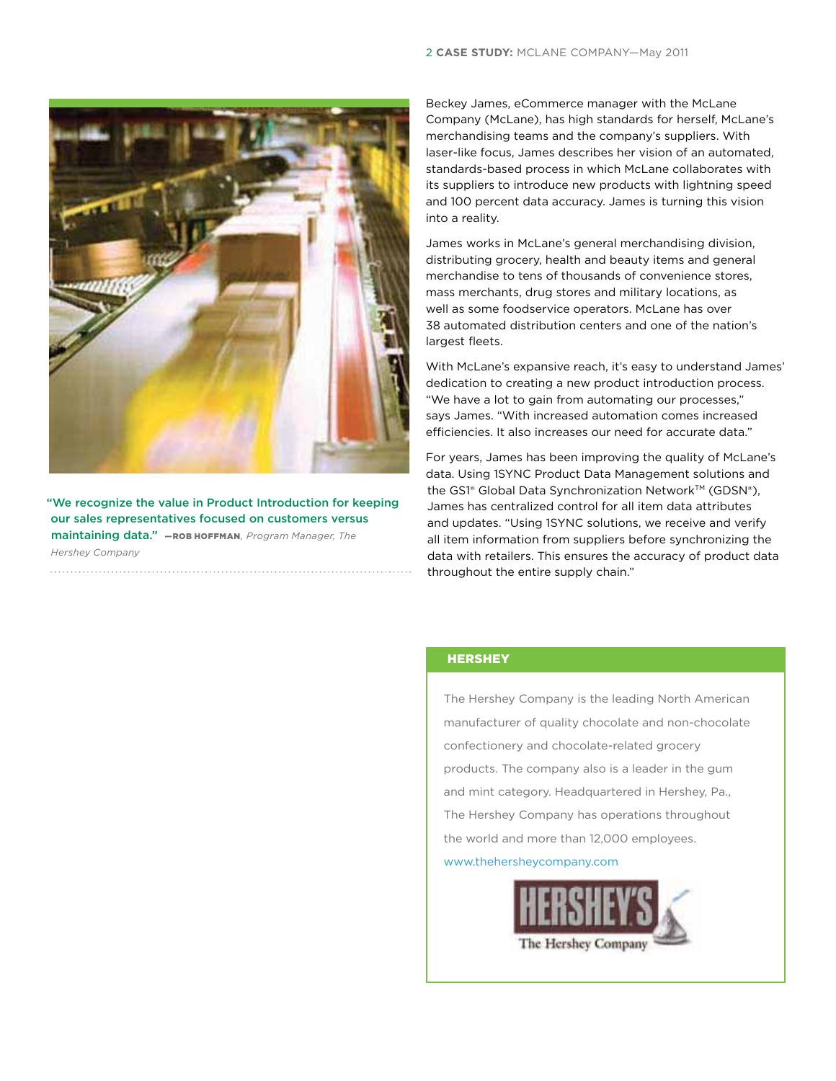

"We recognize the value in Product Introduction for keeping our sales representatives focused on customers versus maintaining data." **-ROB HOFFMAN**, Program Manager, The *Hershey Company*

Beckey James, eCommerce manager with the McLane Company (McLane), has high standards for herself, McLane's merchandising teams and the company's suppliers. With laser-like focus, James describes her vision of an automated, standards-based process in which McLane collaborates with its suppliers to introduce new products with lightning speed and 100 percent data accuracy. James is turning this vision into a reality.

James works in McLane's general merchandising division, distributing grocery, health and beauty items and general merchandise to tens of thousands of convenience stores, mass merchants, drug stores and military locations, as well as some foodservice operators. McLane has over 38 automated distribution centers and one of the nation's largest fleets.

With McLane's expansive reach, it's easy to understand James' dedication to creating a new product introduction process. "We have a lot to gain from automating our processes," says James. "With increased automation comes increased efficiencies. It also increases our need for accurate data."

For years, James has been improving the quality of McLane's data. Using 1SYNC Product Data Management solutions and the GS1<sup>®</sup> Global Data Synchronization Network™ (GDSN®), James has centralized control for all item data attributes and updates. "Using 1SYNC solutions, we receive and verify all item information from suppliers before synchronizing the data with retailers. This ensures the accuracy of product data throughout the entire supply chain."

## **HERSHEY**

The Hershey Company is the leading North American manufacturer of quality chocolate and non-chocolate confectionery and chocolate-related grocery products. The company also is a leader in the gum and mint category. Headquartered in Hershey, Pa., The Hershey Company has operations throughout the world and more than 12,000 employees.

www.thehersheycompany.com

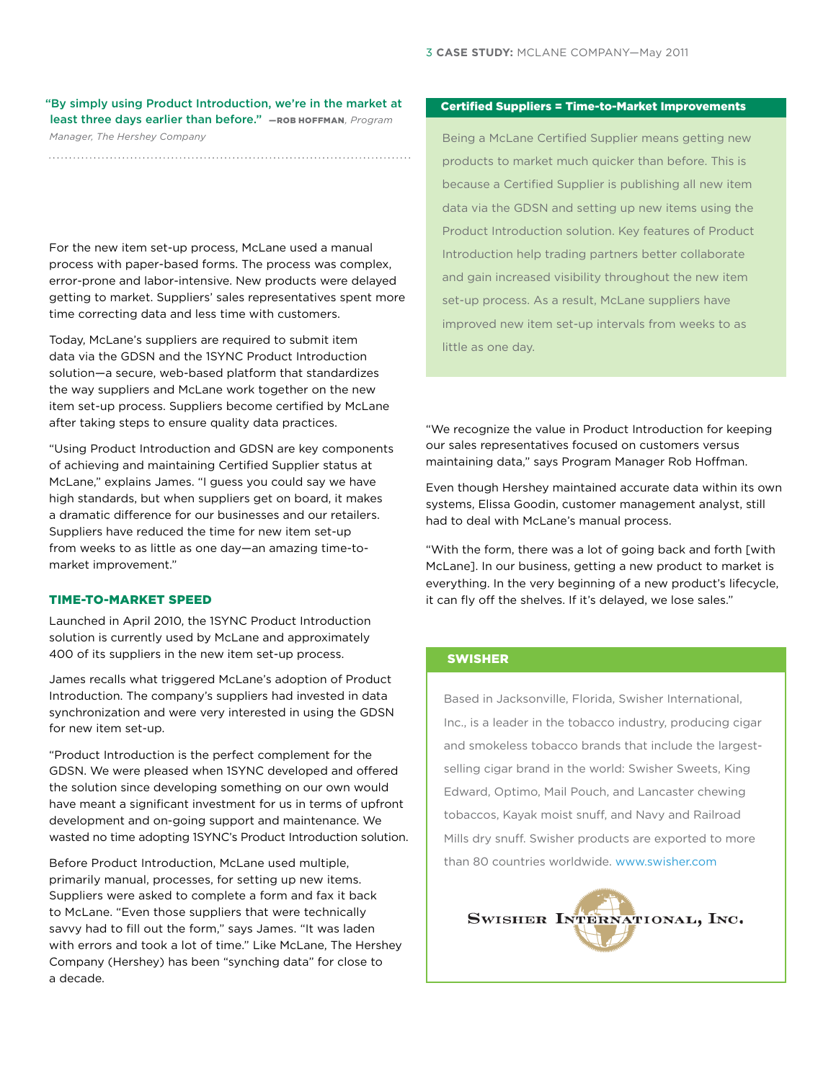## "By simply using Product Introduction, we're in the market at least three days earlier than before." - ROB НОFFMAN, Program *Manager, The Hershey Company*

For the new item set-up process, McLane used a manual process with paper-based forms. The process was complex, error-prone and labor-intensive. New products were delayed getting to market. Suppliers' sales representatives spent more time correcting data and less time with customers.

Today, McLane's suppliers are required to submit item data via the GDSN and the 1SYNC Product Introduction solution—a secure, web-based platform that standardizes the way suppliers and McLane work together on the new item set-up process. Suppliers become certified by McLane after taking steps to ensure quality data practices.

"Using Product Introduction and GDSN are key components of achieving and maintaining Certified Supplier status at McLane," explains James. "I guess you could say we have high standards, but when suppliers get on board, it makes a dramatic difference for our businesses and our retailers. Suppliers have reduced the time for new item set-up from weeks to as little as one day—an amazing time-tomarket improvement."

#### Time-to-Market Speed

Launched in April 2010, the 1SYNC Product Introduction solution is currently used by McLane and approximately 400 of its suppliers in the new item set-up process.

James recalls what triggered McLane's adoption of Product Introduction. The company's suppliers had invested in data synchronization and were very interested in using the GDSN for new item set-up.

"Product Introduction is the perfect complement for the GDSN. We were pleased when 1SYNC developed and offered the solution since developing something on our own would have meant a significant investment for us in terms of upfront development and on-going support and maintenance. We wasted no time adopting 1SYNC's Product Introduction solution.

Before Product Introduction, McLane used multiple, primarily manual, processes, for setting up new items. Suppliers were asked to complete a form and fax it back to McLane. "Even those suppliers that were technically savvy had to fill out the form," says James. "It was laden with errors and took a lot of time." Like McLane, The Hershey Company (Hershey) has been "synching data" for close to a decade.

#### Certified Suppliers = Time-to-Market Improvements

Being a McLane Certified Supplier means getting new products to market much quicker than before. This is because a Certified Supplier is publishing all new item data via the GDSN and setting up new items using the Product Introduction solution. Key features of Product Introduction help trading partners better collaborate and gain increased visibility throughout the new item set-up process. As a result, McLane suppliers have improved new item set-up intervals from weeks to as little as one day.

"We recognize the value in Product Introduction for keeping our sales representatives focused on customers versus maintaining data," says Program Manager Rob Hoffman.

Even though Hershey maintained accurate data within its own systems, Elissa Goodin, customer management analyst, still had to deal with McLane's manual process.

"With the form, there was a lot of going back and forth [with McLane]. In our business, getting a new product to market is everything. In the very beginning of a new product's lifecycle, it can fly off the shelves. If it's delayed, we lose sales."

# **SWISHER**

Based in Jacksonville, Florida, Swisher International, Inc., is a leader in the tobacco industry, producing cigar and smokeless tobacco brands that include the largestselling cigar brand in the world: Swisher Sweets, King Edward, Optimo, Mail Pouch, and Lancaster chewing tobaccos, Kayak moist snuff, and Navy and Railroad Mills dry snuff. Swisher products are exported to more than 80 countries worldwide. www.swisher.com

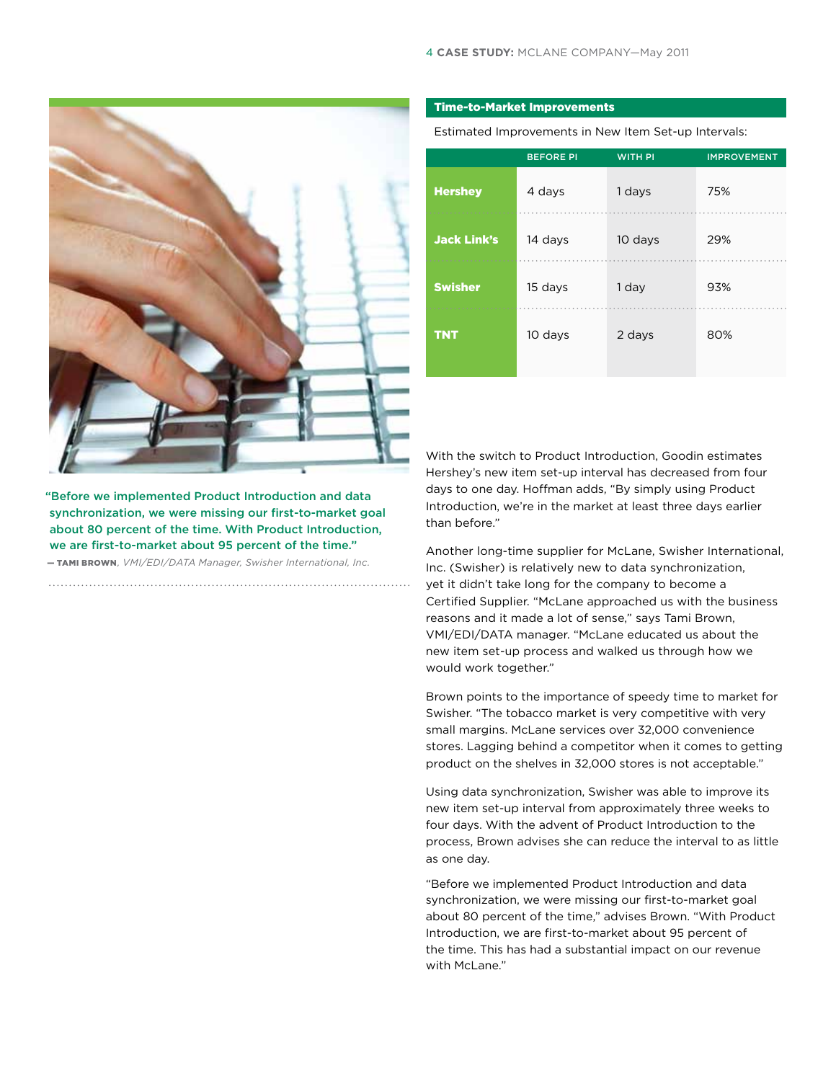

"Before we implemented Product Introduction and data synchronization, we were missing our first-to-market goal about 80 percent of the time. With Product Introduction, we are first-to-market about 95 percent of the time."

— Tami Brown*, VMI/EDI/DATA Manager, Swisher International, Inc.*

#### Time-to-Market Improvements

Estimated Improvements in New Item Set-up Intervals:

|                    | <b>BEFORE PI</b> | <b>WITH PI</b> | <b>IMPROVEMENT</b> |
|--------------------|------------------|----------------|--------------------|
| <b>Hershey</b>     | 4 days           | 1 days         | 75%                |
| <b>Jack Link's</b> | 14 days          | 10 days        | 29%                |
| <b>Swisher</b>     | 15 days          | 1 day          | 93%                |
| <b>TNT</b>         | 10 days          | 2 days         | 80%                |
|                    |                  |                |                    |

With the switch to Product Introduction, Goodin estimates Hershey's new item set-up interval has decreased from four days to one day. Hoffman adds, "By simply using Product Introduction, we're in the market at least three days earlier than before."

Another long-time supplier for McLane, Swisher International, Inc. (Swisher) is relatively new to data synchronization, yet it didn't take long for the company to become a Certified Supplier. "McLane approached us with the business reasons and it made a lot of sense," says Tami Brown, VMI/EDI/DATA manager. "McLane educated us about the new item set-up process and walked us through how we would work together."

Brown points to the importance of speedy time to market for Swisher. "The tobacco market is very competitive with very small margins. McLane services over 32,000 convenience stores. Lagging behind a competitor when it comes to getting product on the shelves in 32,000 stores is not acceptable."

Using data synchronization, Swisher was able to improve its new item set-up interval from approximately three weeks to four days. With the advent of Product Introduction to the process, Brown advises she can reduce the interval to as little as one day.

"Before we implemented Product Introduction and data synchronization, we were missing our first-to-market goal about 80 percent of the time," advises Brown. "With Product Introduction, we are first-to-market about 95 percent of the time. This has had a substantial impact on our revenue with McLane."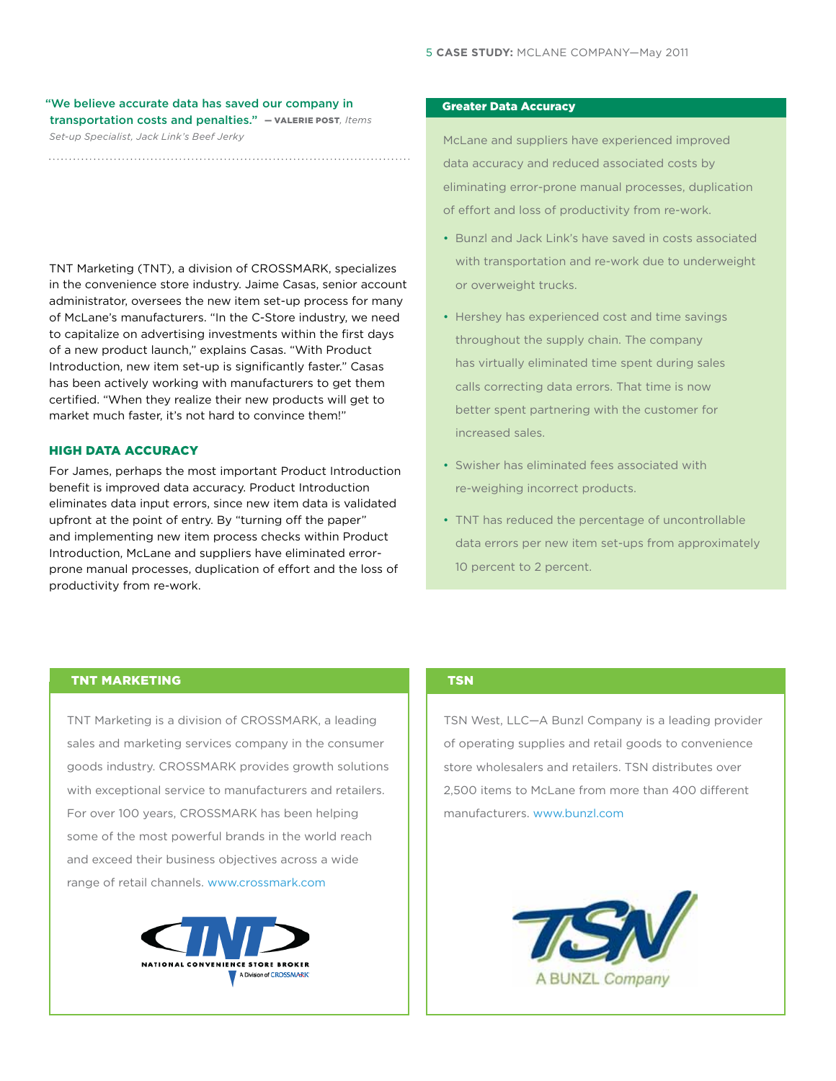# "We believe accurate data has saved our company in transportation costs and penalties." — Valerie Post*, Items*

*Set-up Specialist, Jack Link's Beef Jerky*

TNT Marketing (TNT), a division of CROSSMARK, specializes in the convenience store industry. Jaime Casas, senior account administrator, oversees the new item set-up process for many of McLane's manufacturers. "In the C-Store industry, we need to capitalize on advertising investments within the first days of a new product launch," explains Casas. "With Product Introduction, new item set-up is significantly faster." Casas has been actively working with manufacturers to get them certified. "When they realize their new products will get to market much faster, it's not hard to convince them!"

## **HIGH DATA ACCURACY**

For James, perhaps the most important Product Introduction benefit is improved data accuracy. Product Introduction eliminates data input errors, since new item data is validated upfront at the point of entry. By "turning off the paper" and implementing new item process checks within Product Introduction, McLane and suppliers have eliminated errorprone manual processes, duplication of effort and the loss of productivity from re-work.

## Greater Data Accuracy

McLane and suppliers have experienced improved data accuracy and reduced associated costs by eliminating error-prone manual processes, duplication of effort and loss of productivity from re-work.

- Bunzl and Jack Link's have saved in costs associated with transportation and re-work due to underweight or overweight trucks.
- Hershey has experienced cost and time savings throughout the supply chain. The company has virtually eliminated time spent during sales calls correcting data errors. That time is now better spent partnering with the customer for increased sales.
- Swisher has eliminated fees associated with re-weighing incorrect products.
- TNT has reduced the percentage of uncontrollable data errors per new item set-ups from approximately 10 percent to 2 percent.

## TNT MARKETING

TNT Marketing is a division of CROSSMARK, a leading sales and marketing services company in the consumer goods industry. CROSSMARK provides growth solutions with exceptional service to manufacturers and retailers. For over 100 years, CROSSMARK has been helping some of the most powerful brands in the world reach and exceed their business objectives across a wide range of retail channels. www.crossmark.com



#### **TSN**

TSN West, LLC—A Bunzl Company is a leading provider of operating supplies and retail goods to convenience store wholesalers and retailers. TSN distributes over 2,500 items to McLane from more than 400 different manufacturers. www.bunzl.com

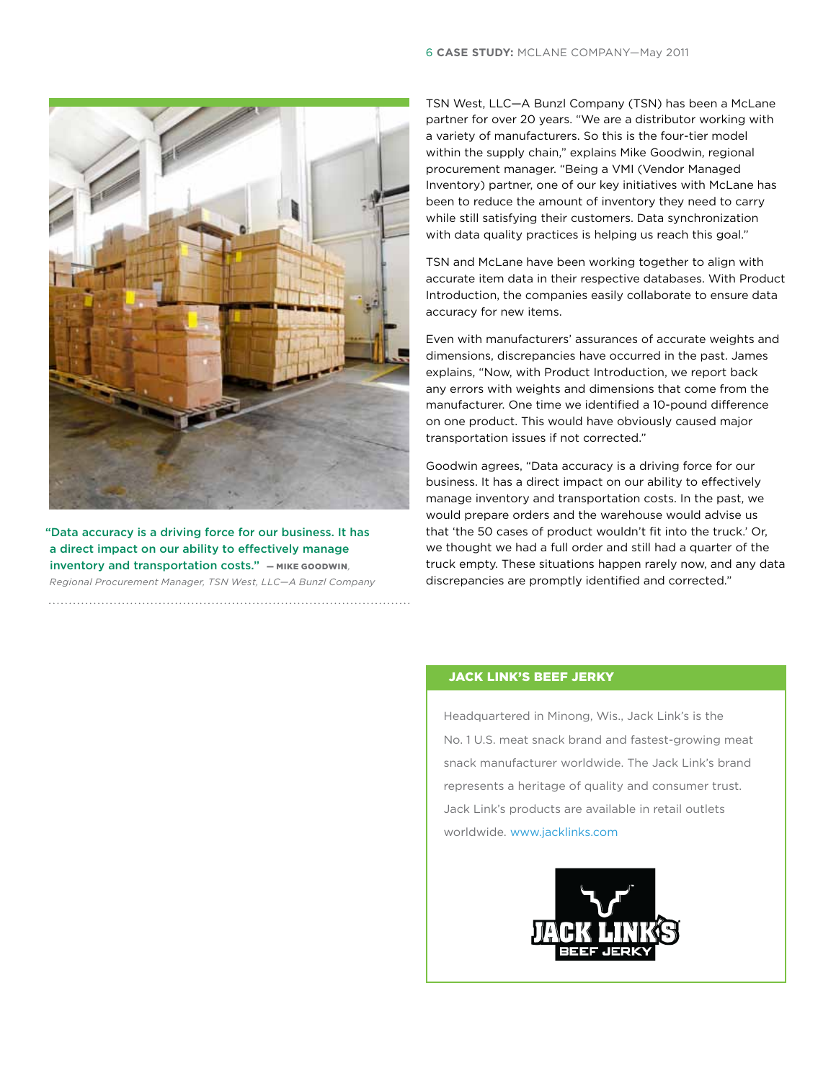

"Data accuracy is a driving force for our business. It has a direct impact on our ability to effectively manage inventory and transportation costs." — Mike Goodwin*, Regional Procurement Manager, TSN West, LLC—A Bunzl Company*

TSN West, LLC—A Bunzl Company (TSN) has been a McLane partner for over 20 years. "We are a distributor working with a variety of manufacturers. So this is the four-tier model within the supply chain," explains Mike Goodwin, regional procurement manager. "Being a VMI (Vendor Managed Inventory) partner, one of our key initiatives with McLane has been to reduce the amount of inventory they need to carry while still satisfying their customers. Data synchronization with data quality practices is helping us reach this goal."

TSN and McLane have been working together to align with accurate item data in their respective databases. With Product Introduction, the companies easily collaborate to ensure data accuracy for new items.

Even with manufacturers' assurances of accurate weights and dimensions, discrepancies have occurred in the past. James explains, "Now, with Product Introduction, we report back any errors with weights and dimensions that come from the manufacturer. One time we identified a 10-pound difference on one product. This would have obviously caused major transportation issues if not corrected."

Goodwin agrees, "Data accuracy is a driving force for our business. It has a direct impact on our ability to effectively manage inventory and transportation costs. In the past, we would prepare orders and the warehouse would advise us that 'the 50 cases of product wouldn't fit into the truck.' Or, we thought we had a full order and still had a quarter of the truck empty. These situations happen rarely now, and any data discrepancies are promptly identified and corrected."

## JACK LINK'S BEEF JERKY

Headquartered in Minong, Wis., Jack Link's is the No. 1 U.S. meat snack brand and fastest-growing meat snack manufacturer worldwide. The Jack Link's brand represents a heritage of quality and consumer trust. Jack Link's products are available in retail outlets worldwide. www.jacklinks.com

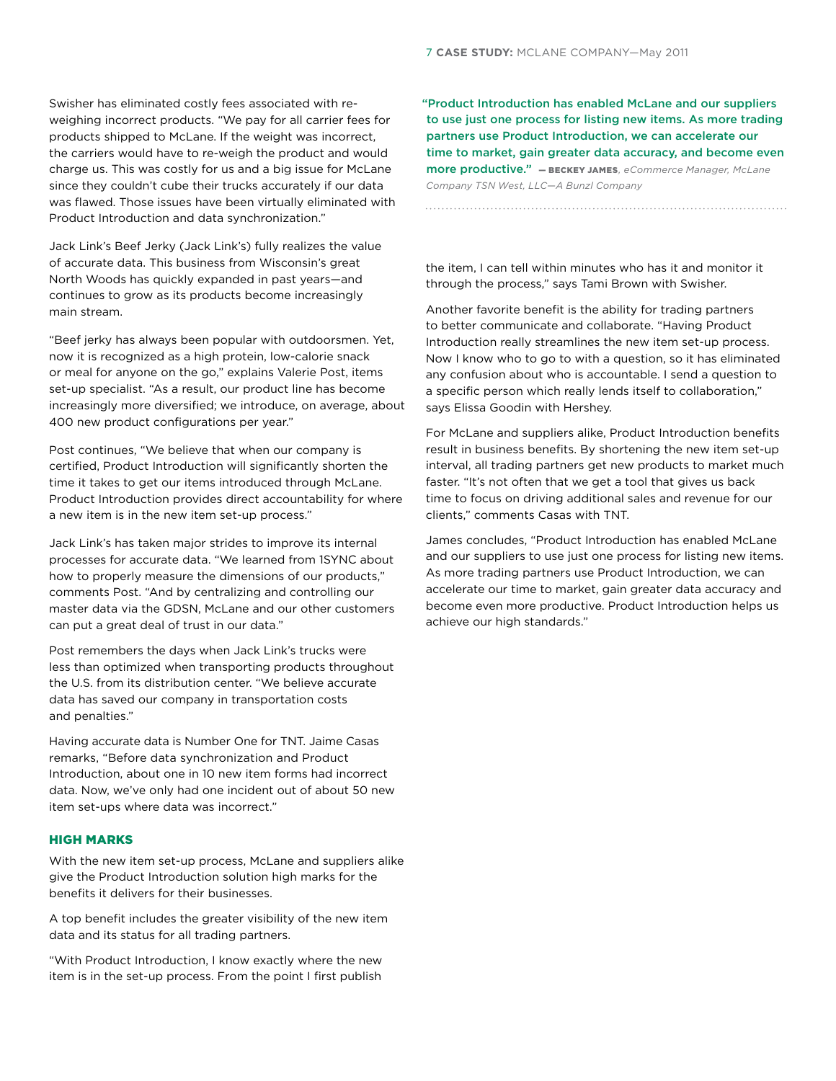Swisher has eliminated costly fees associated with reweighing incorrect products. "We pay for all carrier fees for products shipped to McLane. If the weight was incorrect, the carriers would have to re-weigh the product and would charge us. This was costly for us and a big issue for McLane since they couldn't cube their trucks accurately if our data was flawed. Those issues have been virtually eliminated with Product Introduction and data synchronization."

Jack Link's Beef Jerky (Jack Link's) fully realizes the value of accurate data. This business from Wisconsin's great North Woods has quickly expanded in past years—and continues to grow as its products become increasingly main stream.

"Beef jerky has always been popular with outdoorsmen. Yet, now it is recognized as a high protein, low-calorie snack or meal for anyone on the go," explains Valerie Post, items set-up specialist. "As a result, our product line has become increasingly more diversified; we introduce, on average, about 400 new product configurations per year."

Post continues, "We believe that when our company is certified, Product Introduction will significantly shorten the time it takes to get our items introduced through McLane. Product Introduction provides direct accountability for where a new item is in the new item set-up process."

Jack Link's has taken major strides to improve its internal processes for accurate data. "We learned from 1SYNC about how to properly measure the dimensions of our products," comments Post. "And by centralizing and controlling our master data via the GDSN, McLane and our other customers can put a great deal of trust in our data."

Post remembers the days when Jack Link's trucks were less than optimized when transporting products throughout the U.S. from its distribution center. "We believe accurate data has saved our company in transportation costs and penalties."

Having accurate data is Number One for TNT. Jaime Casas remarks, "Before data synchronization and Product Introduction, about one in 10 new item forms had incorrect data. Now, we've only had one incident out of about 50 new item set-ups where data was incorrect."

#### High Marks

With the new item set-up process, McLane and suppliers alike give the Product Introduction solution high marks for the benefits it delivers for their businesses.

A top benefit includes the greater visibility of the new item data and its status for all trading partners.

"With Product Introduction, I know exactly where the new item is in the set-up process. From the point I first publish

"Product Introduction has enabled McLane and our suppliers to use just one process for listing new items. As more trading partners use Product Introduction, we can accelerate our time to market, gain greater data accuracy, and become even more productive." — Beckey James*, eCommerce Manager, McLane Company TSN West, LLC—A Bunzl Company*

the item, I can tell within minutes who has it and monitor it through the process," says Tami Brown with Swisher.

Another favorite benefit is the ability for trading partners to better communicate and collaborate. "Having Product Introduction really streamlines the new item set-up process. Now I know who to go to with a question, so it has eliminated any confusion about who is accountable. I send a question to a specific person which really lends itself to collaboration," says Elissa Goodin with Hershey.

For McLane and suppliers alike, Product Introduction benefits result in business benefits. By shortening the new item set-up interval, all trading partners get new products to market much faster. "It's not often that we get a tool that gives us back time to focus on driving additional sales and revenue for our clients," comments Casas with TNT.

James concludes, "Product Introduction has enabled McLane and our suppliers to use just one process for listing new items. As more trading partners use Product Introduction, we can accelerate our time to market, gain greater data accuracy and become even more productive. Product Introduction helps us achieve our high standards."